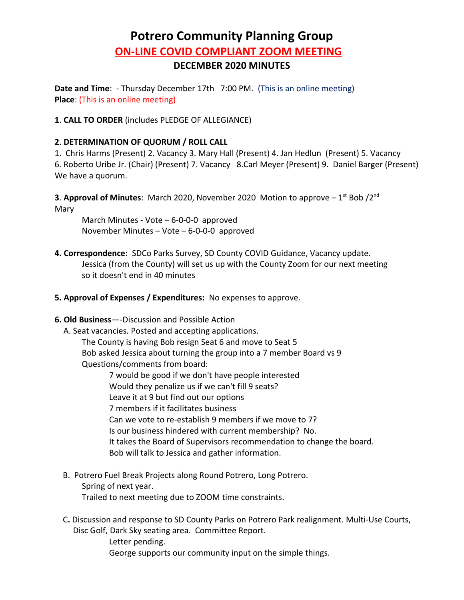## **Potrero Community Planning Group ON-LINE COVID COMPLIANT ZOOM MEETING DECEMBER 2020 MINUTES**

**Date and Time**: - Thursday December 17th 7:00 PM. (This is an online meeting) **Place**: (This is an online meeting)

**1**. **CALL TO ORDER** (includes PLEDGE OF ALLEGIANCE)

## **2**. **DETERMINATION OF QUORUM / ROLL CALL**

1. Chris Harms (Present) 2. Vacancy 3. Mary Hall (Present) 4. Jan Hedlun (Present) 5. Vacancy 6. Roberto Uribe Jr. (Chair) (Present) 7. Vacancy 8.Carl Meyer (Present) 9. Daniel Barger (Present) We have a quorum.

**3. Approval of Minutes:** March 2020, November 2020 Motion to approve  $-1^{st}$  Bob  $/2^{nd}$ Mary

March Minutes - Vote – 6-0-0-0 approved November Minutes – Vote – 6-0-0-0 approved

- **4. Correspondence:** SDCo Parks Survey, SD County COVID Guidance, Vacancy update. Jessica (from the County) will set us up with the County Zoom for our next meeting so it doesn't end in 40 minutes
- **5. Approval of Expenses / Expenditures:** No expenses to approve.
- **6. Old Business**—-Discussion and Possible Action
	- A. Seat vacancies. Posted and accepting applications.

The County is having Bob resign Seat 6 and move to Seat 5 Bob asked Jessica about turning the group into a 7 member Board vs 9 Questions/comments from board:

7 would be good if we don't have people interested Would they penalize us if we can't fill 9 seats? Leave it at 9 but find out our options 7 members if it facilitates business Can we vote to re-establish 9 members if we move to 7? Is our business hindered with current membership? No. It takes the Board of Supervisors recommendation to change the board. Bob will talk to Jessica and gather information.

- B.Potrero Fuel Break Projects along Round Potrero, Long Potrero. Spring of next year. Trailed to next meeting due to ZOOM time constraints.
- C**.** Discussion and response to SD County Parks on Potrero Park realignment. Multi-Use Courts,

Disc Golf, Dark Sky seating area. Committee Report.

Letter pending. George supports our community input on the simple things.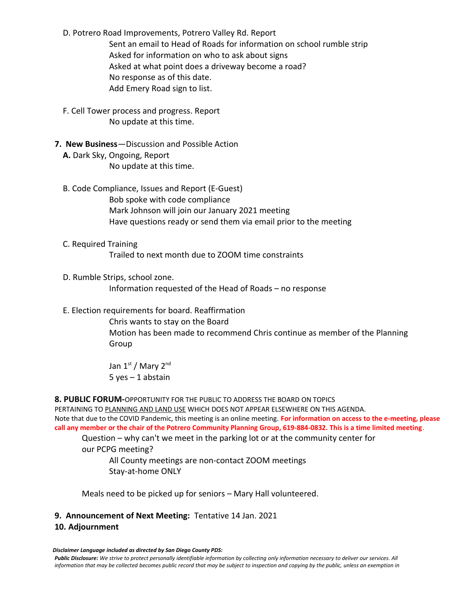D. Potrero Road Improvements, Potrero Valley Rd. Report Sent an email to Head of Roads for information on school rumble strip Asked for information on who to ask about signs Asked at what point does a driveway become a road? No response as of this date. Add Emery Road sign to list.

- F. Cell Tower process and progress. Report No update at this time.
- **7. New Business**—Discussion and Possible Action  **A.** Dark Sky, Ongoing, Report No update at this time.
	- B. Code Compliance, Issues and Report (E-Guest) Bob spoke with code compliance Mark Johnson will join our January 2021 meeting Have questions ready or send them via email prior to the meeting
	- C. Required Training Trailed to next month due to ZOOM time constraints
	- D. Rumble Strips, school zone. Information requested of the Head of Roads – no response
	- E. Election requirements for board. Reaffirmation

Chris wants to stay on the Board Motion has been made to recommend Chris continue as member of the Planning Group

Jan 1st / Mary 2nd 5 yes – 1 abstain

## **8. PUBLIC FORUM-**OPPORTUNITY FOR THE PUBLIC TO ADDRESS THE BOARD ON TOPICS

 PERTAINING TO PLANNING AND LAND USE WHICH DOES NOT APPEAR ELSEWHERE ON THIS AGENDA. Note that due to the COVID Pandemic, this meeting is an online meeting. **For information on access to the e-meeting, please call any member or the chair of the Potrero Community Planning Group, 619-884-0832. This is a time limited meeting**.

Question – why can't we meet in the parking lot or at the community center for

our PCPG meeting?

All County meetings are non-contact ZOOM meetings Stay-at-home ONLY

Meals need to be picked up for seniors – Mary Hall volunteered.

## **9. Announcement of Next Meeting:** Tentative 14 Jan. 2021 **10. Adjournment**

*Disclaimer Language included as directed by San Diego County PDS:*